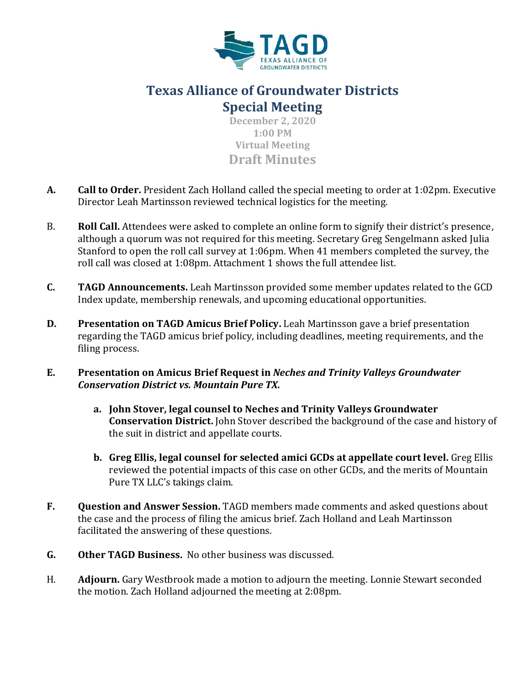

## **Texas Alliance of Groundwater Districts Special Meeting**

**December 2, 2020 1:00 PM Virtual Meeting Draft Minutes**

- **A. Call to Order.** President Zach Holland called the special meeting to order at 1:02pm. Executive Director Leah Martinsson reviewed technical logistics for the meeting.
- B. **Roll Call.** Attendees were asked to complete an online form to signify their district's presence, although a quorum was not required for this meeting. Secretary Greg Sengelmann asked Julia Stanford to open the roll call survey at 1:06pm. When 41 members completed the survey, the roll call was closed at 1:08pm. Attachment 1 shows the full attendee list.
- **C. TAGD Announcements.** Leah Martinsson provided some member updates related to the GCD Index update, membership renewals, and upcoming educational opportunities.
- **D.** Presentation on TAGD Amicus Brief Policy. Leah Martinsson gave a brief presentation regarding the TAGD amicus brief policy, including deadlines, meeting requirements, and the filing process.
- **E. Presentation on Amicus Brief Request in** *Neches and Trinity Valleys Groundwater Conservation District vs. Mountain Pure TX.*
	- **a. John Stover, legal counsel to Neches and Trinity Valleys Groundwater Conservation District.** John Stover described the background of the case and history of the suit in district and appellate courts.
	- **b. Greg Ellis, legal counsel for selected amici GCDs at appellate court level.** Greg Ellis reviewed the potential impacts of this case on other GCDs, and the merits of Mountain Pure TX LLC's takings claim.
- **F. Question and Answer Session.** TAGD members made comments and asked questions about the case and the process of filing the amicus brief. Zach Holland and Leah Martinsson facilitated the answering of these questions.
- **G. Other TAGD Business.** No other business was discussed.
- H. **Adjourn.** Gary Westbrook made a motion to adjourn the meeting. Lonnie Stewart seconded the motion. Zach Holland adjourned the meeting at 2:08pm.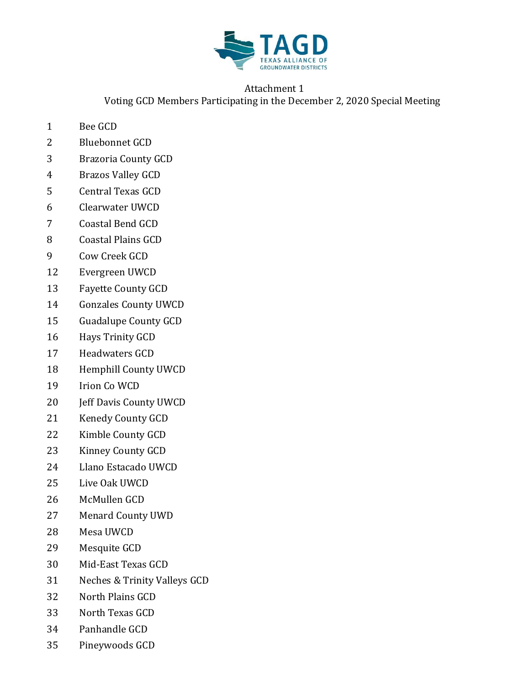

## Attachment 1 Voting GCD Members Participating in the December 2, 2020 Special Meeting

- Bee GCD
- Bluebonnet GCD
- Brazoria County GCD
- Brazos Valley GCD
- Central Texas GCD
- Clearwater UWCD
- Coastal Bend GCD
- Coastal Plains GCD
- Cow Creek GCD
- Evergreen UWCD
- Fayette County GCD
- Gonzales County UWCD
- Guadalupe County GCD
- Hays Trinity GCD
- Headwaters GCD
- Hemphill County UWCD
- Irion Co WCD
- Jeff Davis County UWCD
- Kenedy County GCD
- Kimble County GCD
- Kinney County GCD
- Llano Estacado UWCD
- Live Oak UWCD
- McMullen GCD
- Menard County UWD
- Mesa UWCD
- Mesquite GCD
- Mid-East Texas GCD
- Neches & Trinity Valleys GCD
- North Plains GCD
- North Texas GCD
- Panhandle GCD
- Pineywoods GCD